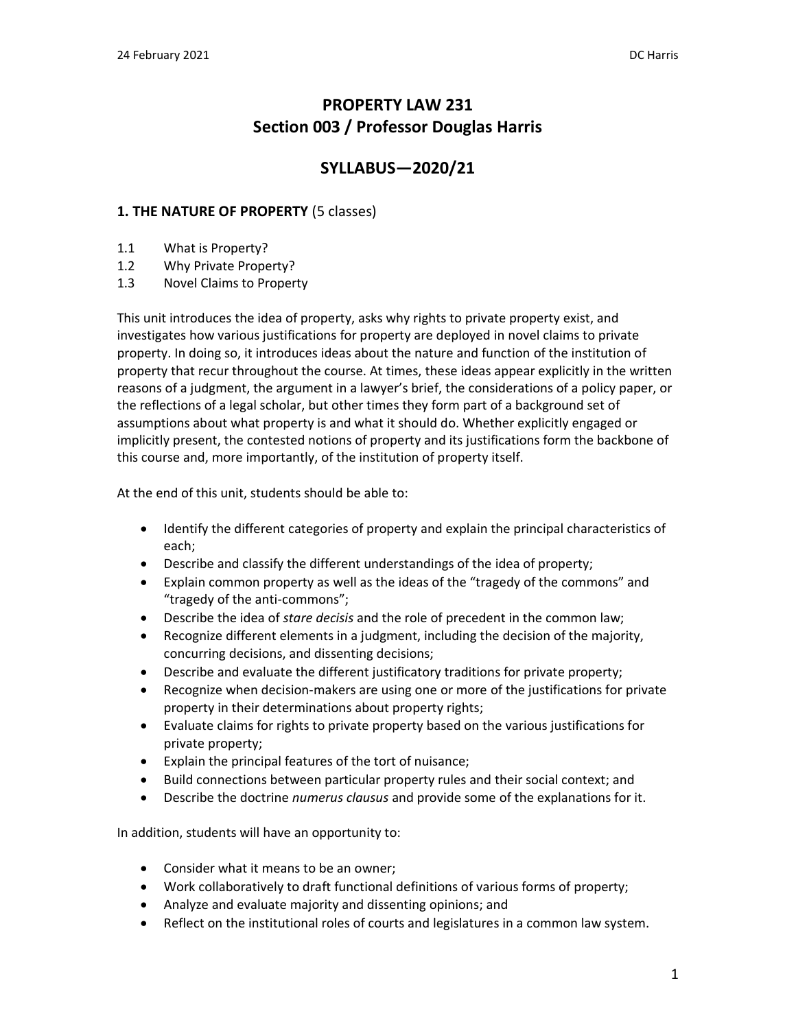# **PROPERTY LAW 231 Section 003 / Professor Douglas Harris**

# **SYLLABUS—2020/21**

### **1. THE NATURE OF PROPERTY** (5 classes)

- 1.1 What is Property?
- 1.2 Why Private Property?
- 1.3 Novel Claims to Property

This unit introduces the idea of property, asks why rights to private property exist, and investigates how various justifications for property are deployed in novel claims to private property. In doing so, it introduces ideas about the nature and function of the institution of property that recur throughout the course. At times, these ideas appear explicitly in the written reasons of a judgment, the argument in a lawyer's brief, the considerations of a policy paper, or the reflections of a legal scholar, but other times they form part of a background set of assumptions about what property is and what it should do. Whether explicitly engaged or implicitly present, the contested notions of property and its justifications form the backbone of this course and, more importantly, of the institution of property itself.

At the end of this unit, students should be able to:

- Identify the different categories of property and explain the principal characteristics of each;
- Describe and classify the different understandings of the idea of property;
- Explain common property as well as the ideas of the "tragedy of the commons" and "tragedy of the anti-commons";
- Describe the idea of *stare decisis* and the role of precedent in the common law;
- Recognize different elements in a judgment, including the decision of the majority, concurring decisions, and dissenting decisions;
- Describe and evaluate the different justificatory traditions for private property;
- Recognize when decision-makers are using one or more of the justifications for private property in their determinations about property rights;
- Evaluate claims for rights to private property based on the various justifications for private property;
- Explain the principal features of the tort of nuisance;
- Build connections between particular property rules and their social context; and
- Describe the doctrine *numerus clausus* and provide some of the explanations for it.

In addition, students will have an opportunity to:

- Consider what it means to be an owner;
- Work collaboratively to draft functional definitions of various forms of property;
- Analyze and evaluate majority and dissenting opinions; and
- Reflect on the institutional roles of courts and legislatures in a common law system.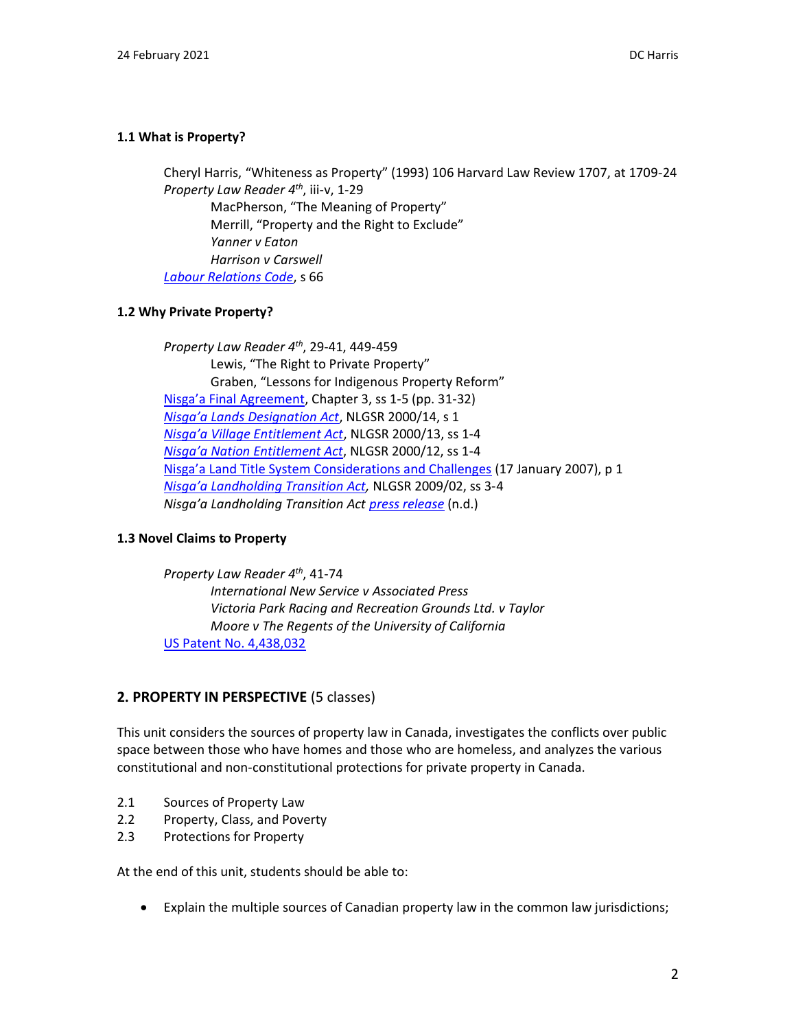### **1.1 What is Property?**

Cheryl Harris, "Whiteness as Property" (1993) 106 Harvard Law Review 1707, at 1709-24 *Property Law Reader 4 th* , iii-v, 1-29

MacPherson, "The Meaning of Property" Merrill, "Property and the Right to Exclude" *Yanner v Eaton Harrison v Carswell [Labour Relations Code](http://www.bclaws.ca/civix/document/id/complete/statreg/96244_01)*, s 66

### **1.2 Why Private Property?**

*Property Law Reader 4th* , 29-41, 449-459 Lewis, "The Right to Private Property" Graben, "Lessons for Indigenous Property Reform" [Nisga'a Final Agreement](https://www.rcaanc-cirnac.gc.ca/eng/1100100031292/1542998607479), Chapter 3, ss 1-5 (pp. 31-32) *[Nisga'a Lands Designation Act](http://nisgaanation.ca/legislation/nisgaa-lands-designation-act)*, NLGSR 2000/14, s 1 *[Nisga'a Village Entitlement Act](http://nisgaanation.ca/legislation/nisgaa-village-entitlement-act)*, NLGSR 2000/13, ss 1-4 *[Nisga'a Nation Entitlement Act](http://nisgaanation.ca/legislation/nisgaa-nation-entitlement-act)*, NLGSR 2000/12, ss 1-4 [Nisga'a Land Title System Considerations and Challenges](https://www.nisgaanation.ca/sites/default/files/Nisga_a_Land_Title_System_Considerations_and_Challenges_Jan_07_0.pdf) (17 January 2007), p 1 *[Nisga'a Landholding Transition Act](http://www.nisgaanation.ca/legislation/nisgaa-landholding-transition-act),* NLGSR 2009/02, ss 3-4 *Nisga'a Landholding Transition Act [press release](http://www.nisgaanation.ca/nisgaa-landholding-transition-act)* (n.d.)

### **1.3 Novel Claims to Property**

*Property Law Reader 4 th*, 41-74 *International New Service v Associated Press Victoria Park Racing and Recreation Grounds Ltd. v Taylor Moore v The Regents of the University of California* [US Patent No. 4,438,032](http://patft.uspto.gov/netacgi/nph-Parser?Sect1=PTO1&Sect2=HITOFF&d=PALL&p=1&u=/netahtml/PTO/srchnum.htm&r=1&f=G&l=50&s1=4,438,032.PN.&OS=PN/4,438,032&RS=PN/4,438,032)

### **2. PROPERTY IN PERSPECTIVE** (5 classes)

This unit considers the sources of property law in Canada, investigates the conflicts over public space between those who have homes and those who are homeless, and analyzes the various constitutional and non-constitutional protections for private property in Canada.

- 2.1 Sources of Property Law
- 2.2 Property, Class, and Poverty
- 2.3 Protections for Property

At the end of this unit, students should be able to:

• Explain the multiple sources of Canadian property law in the common law jurisdictions;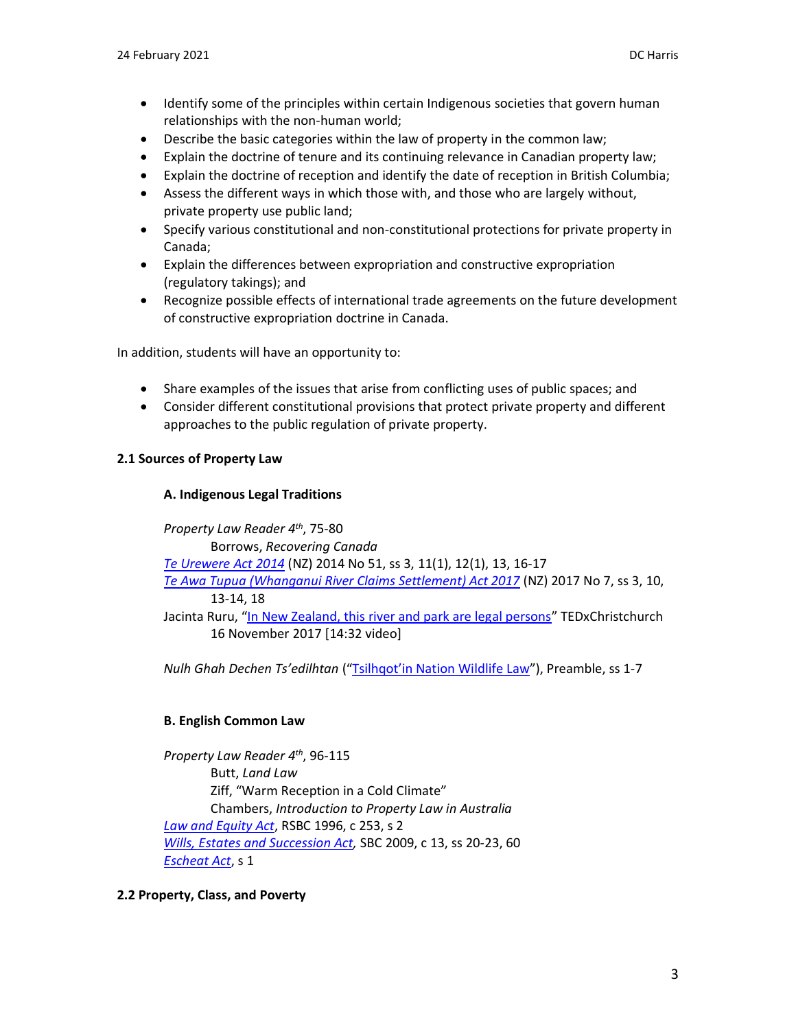- Identify some of the principles within certain Indigenous societies that govern human relationships with the non-human world;
- Describe the basic categories within the law of property in the common law;
- Explain the doctrine of tenure and its continuing relevance in Canadian property law;
- Explain the doctrine of reception and identify the date of reception in British Columbia;
- Assess the different ways in which those with, and those who are largely without, private property use public land;
- Specify various constitutional and non-constitutional protections for private property in Canada;
- Explain the differences between expropriation and constructive expropriation (regulatory takings); and
- Recognize possible effects of international trade agreements on the future development of constructive expropriation doctrine in Canada.

In addition, students will have an opportunity to:

- Share examples of the issues that arise from conflicting uses of public spaces; and
- Consider different constitutional provisions that protect private property and different approaches to the public regulation of private property.

### **2.1 Sources of Property Law**

### **A. Indigenous Legal Traditions**

*Property Law Reader 4 th* , 75-80 Borrows, *Recovering Canada [Te Urewere Act](http://www.legislation.govt.nz/act/public/2014/0051/latest/whole.html) 2014* (NZ) 2014 No 51, ss 3, 11(1), 12(1), 13, 16-17 *[Te Awa Tupua \(Whanganui River Claims Settlement\) Act 2017](http://www.legislation.govt.nz/act/public/2017/0007/latest/whole.html)* (NZ) 2017 No 7, ss 3, 10, 13-14, 18 Jacinta Ruru, "[In New Zealand, this river and park are legal persons](https://www.youtube.com/watch?v=3zAPwaOYjQU)" TEDxChristchurch 16 November 2017 [14:32 video]

*Nulh Ghah Dechen Ts'edilhtan* (["Tsilhqot'in Nation Wildlife Law"](http://www.tsilhqotin.ca/Portals/0/PDFs/Press%20Releases/TsilhqotinNationNGDT-WildlifeLaw%20%282%29.pdf)), Preamble, ss 1-7

### **B. English Common Law**

*Property Law Reader 4 th* , 96-115 Butt, *Land Law* Ziff, "Warm Reception in a Cold Climate" Chambers, *Introduction to Property Law in Australia [Law and Equity Act](http://www.bclaws.ca/EPLibraries/bclaws_new/document/ID/freeside/00_96253_01)*, RSBC 1996, c 253, s 2 *[Wills, Estates and Succession Act,](http://www.bclaws.ca/civix/document/id/complete/statreg/09013_01)* SBC 2009, c 13, ss 20-23, 60 *[Escheat Act](http://www.bclaws.ca/EPLibraries/bclaws_new/document/ID/freeside/00_96120_01)*, s 1

**2.2 Property, Class, and Poverty**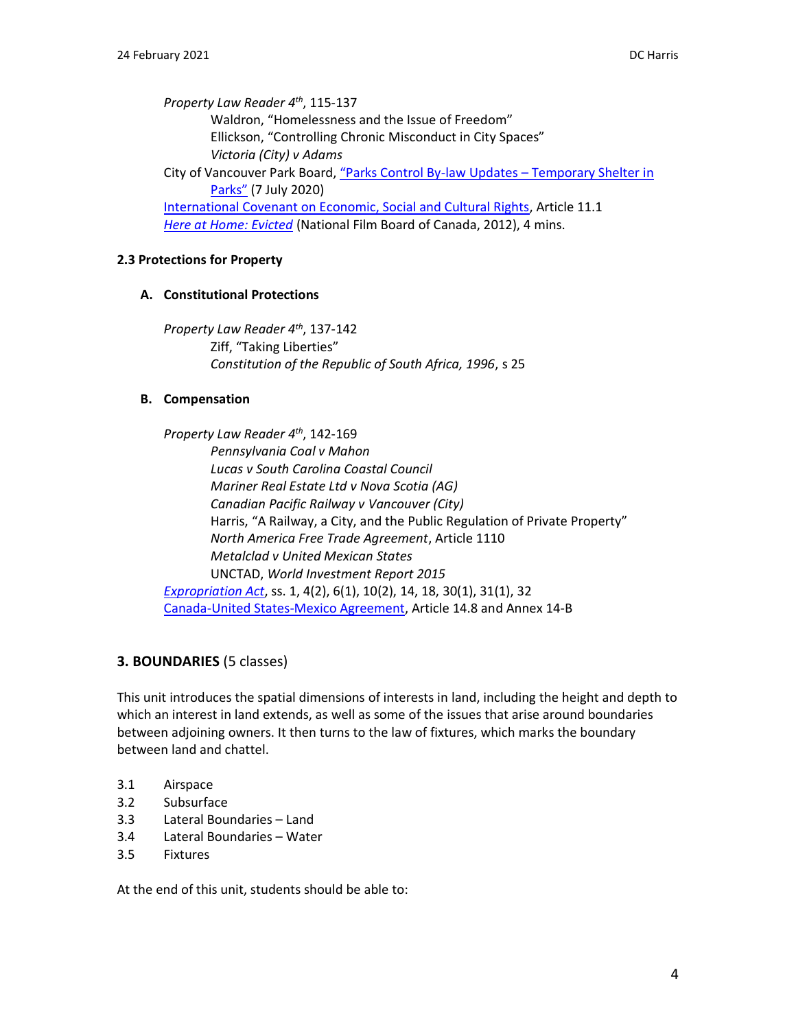*Property Law Reader 4 th*, 115-137 Waldron, "Homelessness and the Issue of Freedom" Ellickson, "Controlling Chronic Misconduct in City Spaces" *Victoria (City) v Adams* City of Vancouver Park Board, "Parks Control By-law Updates – [Temporary Shelter in](https://parkboardmeetings.vancouver.ca/2020/20200713/REPORT-ParksControlBylaws-TemporaryShelter-20200713.pdf)  [Parks"](https://parkboardmeetings.vancouver.ca/2020/20200713/REPORT-ParksControlBylaws-TemporaryShelter-20200713.pdf) (7 July 2020) [International Covenant on Economic, Social and Cultural Rights,](http://www.ohchr.org/EN/ProfessionalInterest/Pages/CESCR.aspx) Article 11.1 *[Here at Home: Evicted](https://www.nfb.ca/film/at_home_evicted/)* (National Film Board of Canada, 2012), 4 mins.

### **2.3 Protections for Property**

### **A. Constitutional Protections**

*Property Law Reader 4th*, 137-142 Ziff, "Taking Liberties" *Constitution of the Republic of South Africa, 1996*, s 25

### **B. Compensation**

*Property Law Reader 4 th* , 142-169 *Pennsylvania Coal v Mahon Lucas v South Carolina Coastal Council Mariner Real Estate Ltd v Nova Scotia (AG) Canadian Pacific Railway v Vancouver (City)* Harris, "A Railway, a City, and the Public Regulation of Private Property" *North America Free Trade Agreement*, Article 1110 *Metalclad v United Mexican States* UNCTAD, *World Investment Report 2015 [Expropriation Act](http://www.bclaws.ca/EPLibraries/bclaws_new/document/ID/freeside/00_96125_01)*, ss. 1, 4(2), 6(1), 10(2), 14, 18, 30(1), 31(1), 32 [Canada-United States-Mexico Agreement,](https://www.international.gc.ca/trade-commerce/trade-agreements-accords-commerciaux/agr-acc/cusma-aceum/index.aspx?lang=eng) Article 14.8 and Annex 14-B

# **3. BOUNDARIES** (5 classes)

This unit introduces the spatial dimensions of interests in land, including the height and depth to which an interest in land extends, as well as some of the issues that arise around boundaries between adjoining owners. It then turns to the law of fixtures, which marks the boundary between land and chattel.

- 3.1 Airspace
- 3.2 Subsurface
- 3.3 Lateral Boundaries Land
- 3.4 Lateral Boundaries Water
- 3.5 Fixtures

At the end of this unit, students should be able to: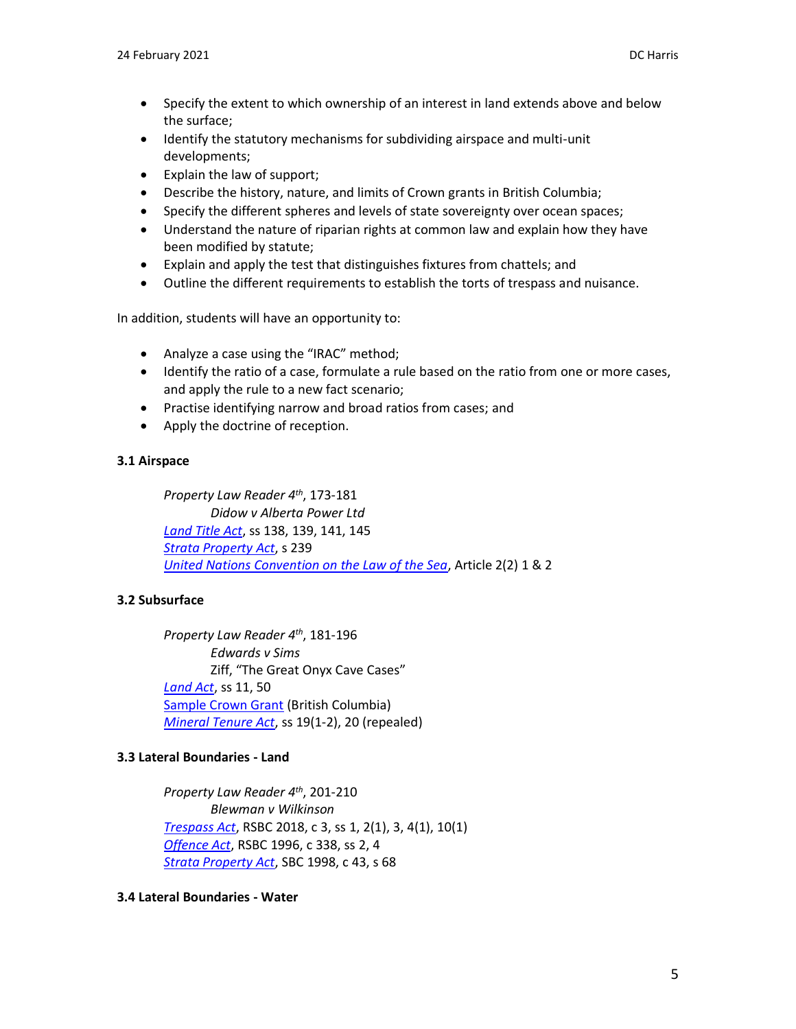- Specify the extent to which ownership of an interest in land extends above and below the surface;
- Identify the statutory mechanisms for subdividing airspace and multi-unit developments;
- Explain the law of support;
- Describe the history, nature, and limits of Crown grants in British Columbia;
- Specify the different spheres and levels of state sovereignty over ocean spaces;
- Understand the nature of riparian rights at common law and explain how they have been modified by statute;
- Explain and apply the test that distinguishes fixtures from chattels; and
- Outline the different requirements to establish the torts of trespass and nuisance.

In addition, students will have an opportunity to:

- Analyze a case using the "IRAC" method;
- Identify the ratio of a case, formulate a rule based on the ratio from one or more cases, and apply the rule to a new fact scenario;
- Practise identifying narrow and broad ratios from cases; and
- Apply the doctrine of reception.

## **3.1 Airspace**

*Property Law Reader 4 th*, 173-181 *Didow v Alberta Power Ltd [Land Title Act](http://www.bclaws.ca/EPLibraries/bclaws_new/document/ID/freeside/96250_00)*, ss 138, 139, 141, 145 *[Strata Property](http://www.bclaws.ca/EPLibraries/bclaws_new/document/ID/freeside/98043_00) Act*, s 239 *[United Nations Convention on the Law of the Sea](http://www.un.org/depts/los/convention_agreements/texts/unclos/UNCLOS-TOC.htm)*, Article 2(2) 1 & 2

# **3.2 Subsurface**

*Property Law Reader 4 th*, 181-196 *Edwards v Sims* Ziff, "The Great Onyx Cave Cases" *[Land Act](http://www.bclaws.ca/EPLibraries/bclaws_new/document/ID/freeside/00_96245_01)*, ss 11, 50 [Sample Crown Grant](http://www.ltsa.ca/docs/Mock-Crown-Grant.pdf) (British Columbia) *[Mineral Tenure Act](http://www.bclaws.ca/EPLibraries/bclaws_new/document/ID/freeside/00_96292_01)*, ss 19(1-2), 20 (repealed)

# **3.3 Lateral Boundaries - Land**

*Property Law Reader 4 th* , 201-210 *Blewman v Wilkinson [Trespass Act](http://www.bclaws.ca/civix/document/id/complete/statreg/18003)*, RSBC 2018, c 3, ss 1, 2(1), 3, 4(1), 10(1) *[Offence Act](http://www.bclaws.ca/civix/document/id/complete/statreg/96338_01)*, RSBC 1996, c 338, ss 2, 4 *[Strata Property Act](http://www.bclaws.ca/civix/document/id/complete/statreg/98043_00)*, SBC 1998, c 43, s 68

### **3.4 Lateral Boundaries - Water**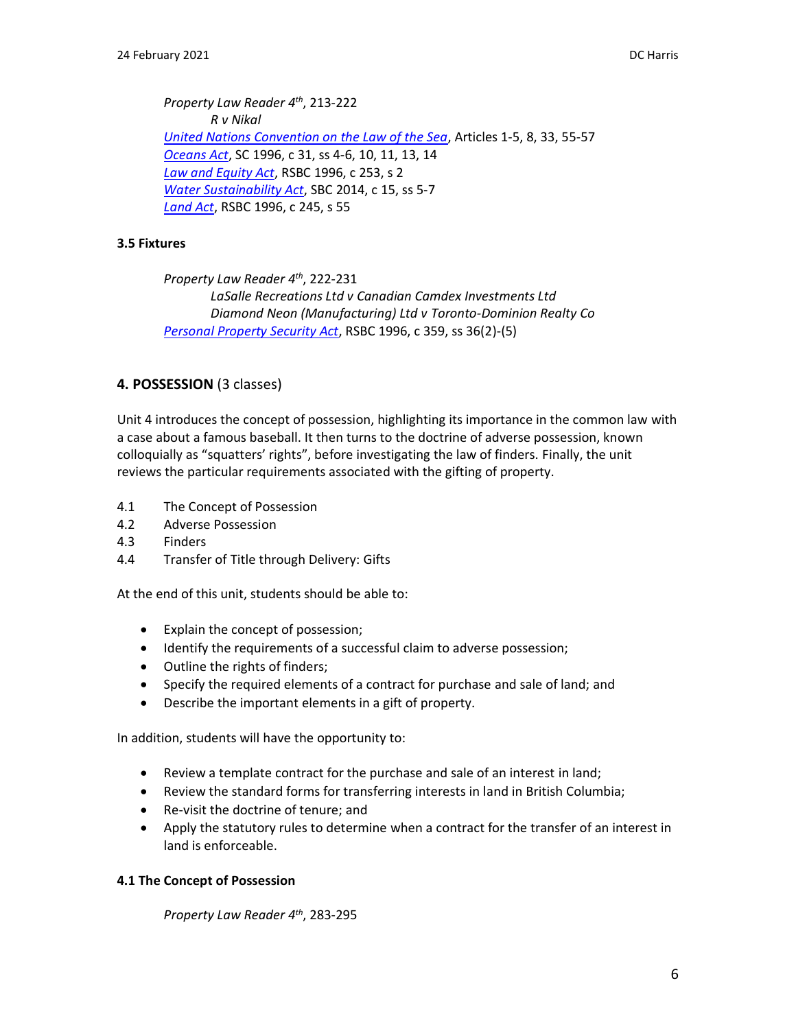*Property Law Reader 4 th* , 213-222 *R v Nikal [United Nations Convention on the Law of the Sea](http://www.un.org/depts/los/convention_agreements/texts/unclos/UNCLOS-TOC.htm)*, Articles 1-5, 8, 33, 55-57 *[Oceans Act](http://laws-lois.justice.gc.ca/eng/acts/O-2.4/)*, SC 1996, c 31, ss 4-6, 10, 11, 13, 14 *[Law and Equity Act](http://www.bclaws.ca/EPLibraries/bclaws_new/document/ID/freeside/00_96253_01)*, RSBC 1996, c 253, s 2 *[Water Sustainability Act](http://www.bclaws.ca/civix/document/id/complete/statreg/14015)*, SBC 2014, c 15, ss 5-7 *[Land Act](http://www.bclaws.ca/civix/document/id/complete/statreg/96245_01)*, RSBC 1996, c 245, s 55

#### **3.5 Fixtures**

*Property Law Reader 4 th*, 222-231 *LaSalle Recreations Ltd v Canadian Camdex Investments Ltd Diamond Neon (Manufacturing) Ltd v Toronto-Dominion Realty Co [Personal Property Security Act](http://www.bclaws.ca/civix/document/id/complete/statreg/96359_01)*, RSBC 1996, c 359, ss 36(2)-(5)

#### **4. POSSESSION** (3 classes)

Unit 4 introduces the concept of possession, highlighting its importance in the common law with a case about a famous baseball. It then turns to the doctrine of adverse possession, known colloquially as "squatters' rights", before investigating the law of finders. Finally, the unit reviews the particular requirements associated with the gifting of property.

- 4.1 The Concept of Possession
- 4.2 Adverse Possession
- 4.3 Finders
- 4.4 Transfer of Title through Delivery: Gifts

At the end of this unit, students should be able to:

- Explain the concept of possession;
- Identify the requirements of a successful claim to adverse possession;
- Outline the rights of finders;
- Specify the required elements of a contract for purchase and sale of land; and
- Describe the important elements in a gift of property.

In addition, students will have the opportunity to:

- Review a template contract for the purchase and sale of an interest in land;
- Review the standard forms for transferring interests in land in British Columbia;
- Re-visit the doctrine of tenure; and
- Apply the statutory rules to determine when a contract for the transfer of an interest in land is enforceable.

#### **4.1 The Concept of Possession**

*Property Law Reader 4 th*, 283-295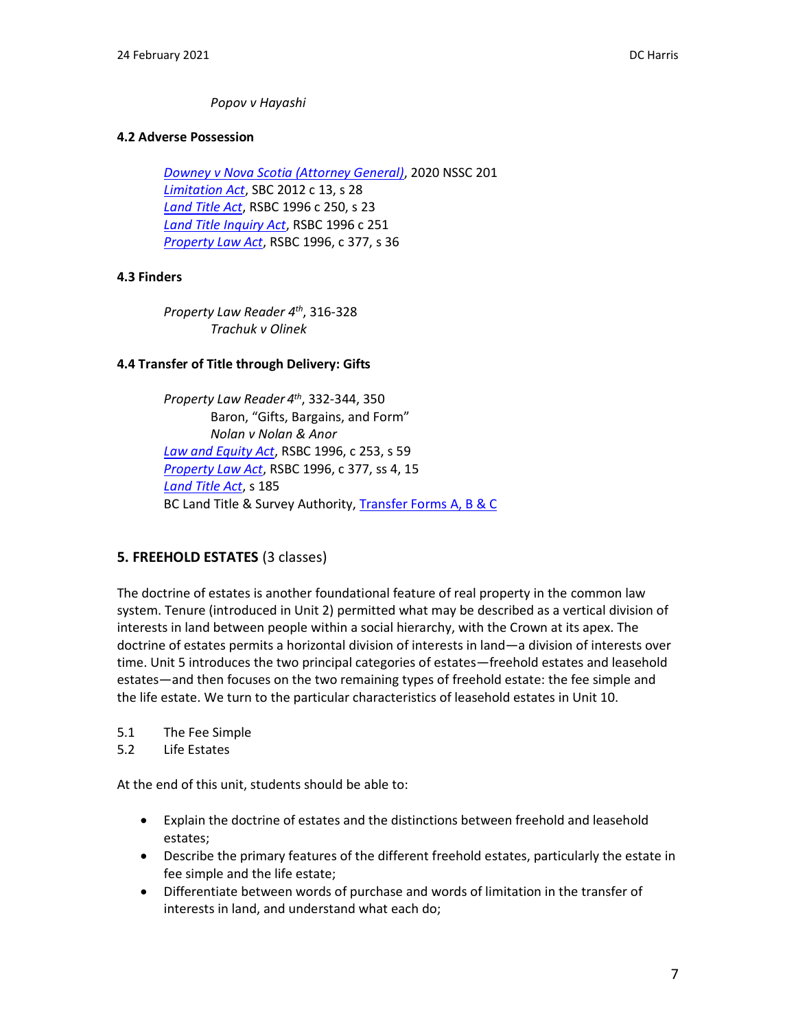### *Popov v Hayashi*

### **4.2 Adverse Possession**

*[Downey v Nova Scotia \(Attorney General\)](http://canlii.ca/t/j8jwb)*, 2020 NSSC 201 *[Limitation Act](http://www.bclaws.ca/civix/document/id/complete/statreg/12013_01)*, SBC 2012 c 13, s 28 *[Land Title Act](http://www.bclaws.ca/civix/document/id/complete/statreg/96250_00)*, RSBC 1996 c 250, s 23 *[Land Title Inquiry Act](http://www.bclaws.ca/civix/document/id/complete/statreg/96251_01)*, RSBC 1996 c 251 *[Property Law Act](http://www.bclaws.ca/EPLibraries/bclaws_new/document/ID/freeside/00_96377_01)*, RSBC 1996, c 377, s 36

### **4.3 Finders**

*Property Law Reader 4 th*, 316-328 *Trachuk v Olinek*

### **4.4 Transfer of Title through Delivery: Gifts**

*Property Law Reader 4 th*, 332-344, 350 Baron, "Gifts, Bargains, and Form" *Nolan v Nolan & Anor [Law and Equity Act](http://www.bclaws.ca/EPLibraries/bclaws_new/document/ID/freeside/00_96253_01)*, RSBC 1996, c 253, s 59 *[Property Law Act](http://www.bclaws.ca/EPLibraries/bclaws_new/document/ID/freeside/00_96377_01)*, RSBC 1996, c 377, ss 4, 15 *[Land Title Act](http://www.bclaws.ca/EPLibraries/bclaws_new/document/ID/freeside/96250_00)*, s 185 BC Land Title & Survey Authority[, Transfer Forms A, B & C](https://www.ltsa.ca/professionals/land-title-practice/land-title-forms/)

### **5. FREEHOLD ESTATES** (3 classes)

The doctrine of estates is another foundational feature of real property in the common law system. Tenure (introduced in Unit 2) permitted what may be described as a vertical division of interests in land between people within a social hierarchy, with the Crown at its apex. The doctrine of estates permits a horizontal division of interests in land—a division of interests over time. Unit 5 introduces the two principal categories of estates—freehold estates and leasehold estates—and then focuses on the two remaining types of freehold estate: the fee simple and the life estate. We turn to the particular characteristics of leasehold estates in Unit 10.

- 5.1 The Fee Simple
- 5.2 Life Estates

At the end of this unit, students should be able to:

- Explain the doctrine of estates and the distinctions between freehold and leasehold estates;
- Describe the primary features of the different freehold estates, particularly the estate in fee simple and the life estate;
- Differentiate between words of purchase and words of limitation in the transfer of interests in land, and understand what each do;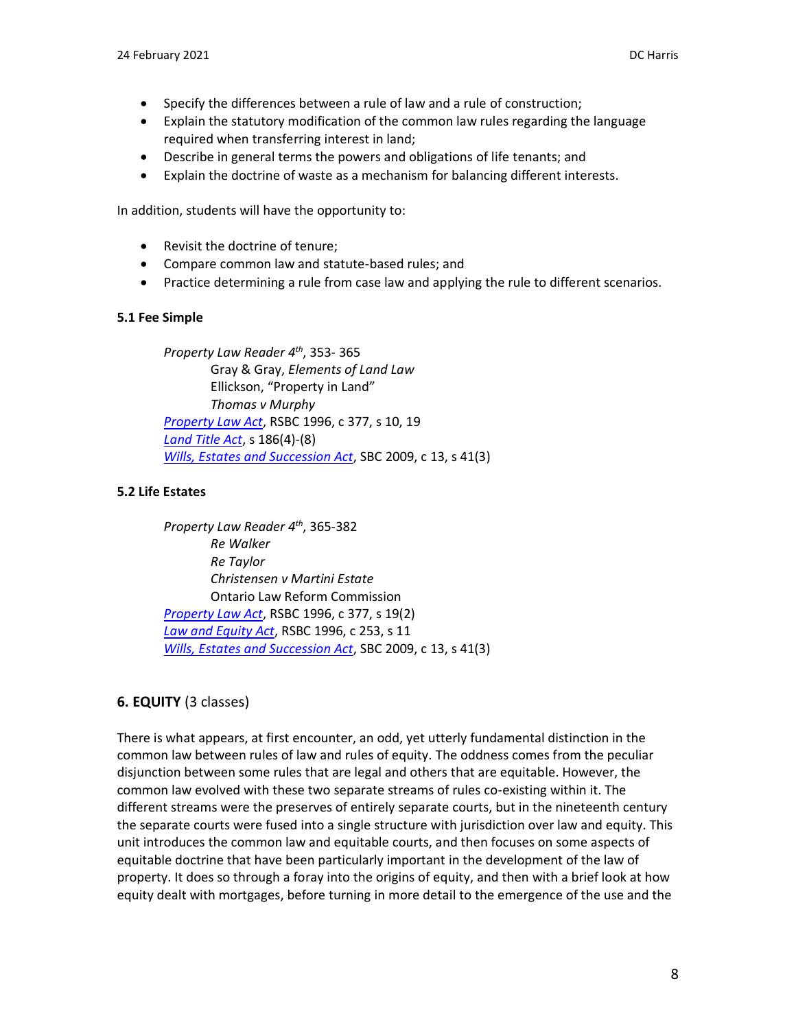- Specify the differences between a rule of law and a rule of construction;
- Explain the statutory modification of the common law rules regarding the language required when transferring interest in land;
- Describe in general terms the powers and obligations of life tenants; and
- Explain the doctrine of waste as a mechanism for balancing different interests.

In addition, students will have the opportunity to:

- Revisit the doctrine of tenure;
- Compare common law and statute-based rules; and
- Practice determining a rule from case law and applying the rule to different scenarios.

### **5.1 Fee Simple**

*Property Law Reader 4 th*, 353- 365 Gray & Gray, *Elements of Land Law* Ellickson, "Property in Land" *Thomas v Murphy [Property Law Act](http://www.bclaws.ca/EPLibraries/bclaws_new/document/ID/freeside/00_96377_01)*, RSBC 1996, c 377, s 10, 19 *[Land Title Act](http://www.bclaws.ca/EPLibraries/bclaws_new/document/ID/freeside/96250_00)*, s 186(4)-(8) *[Wills, Estates and Succession Act](http://www.bclaws.ca/civix/document/id/complete/statreg/09013_01)*, SBC 2009, c 13, s 41(3)

## **5.2 Life Estates**

*Property Law Reader 4 th*, 365-382 *Re Walker Re Taylor Christensen v Martini Estate* Ontario Law Reform Commission *[Property Law Act](http://www.bclaws.ca/EPLibraries/bclaws_new/document/ID/freeside/00_96377_01)*, RSBC 1996, c 377, s 19(2) *[Law and Equity Act](http://www.bclaws.ca/EPLibraries/bclaws_new/document/ID/freeside/00_96253_01)*, RSBC 1996, c 253, s 11 *[Wills, Estates and Succession Act](http://www.bclaws.ca/civix/document/id/complete/statreg/09013_01)*, SBC 2009, c 13, s 41(3)

# **6. EQUITY** (3 classes)

There is what appears, at first encounter, an odd, yet utterly fundamental distinction in the common law between rules of law and rules of equity. The oddness comes from the peculiar disjunction between some rules that are legal and others that are equitable. However, the common law evolved with these two separate streams of rules co-existing within it. The different streams were the preserves of entirely separate courts, but in the nineteenth century the separate courts were fused into a single structure with jurisdiction over law and equity. This unit introduces the common law and equitable courts, and then focuses on some aspects of equitable doctrine that have been particularly important in the development of the law of property. It does so through a foray into the origins of equity, and then with a brief look at how equity dealt with mortgages, before turning in more detail to the emergence of the use and the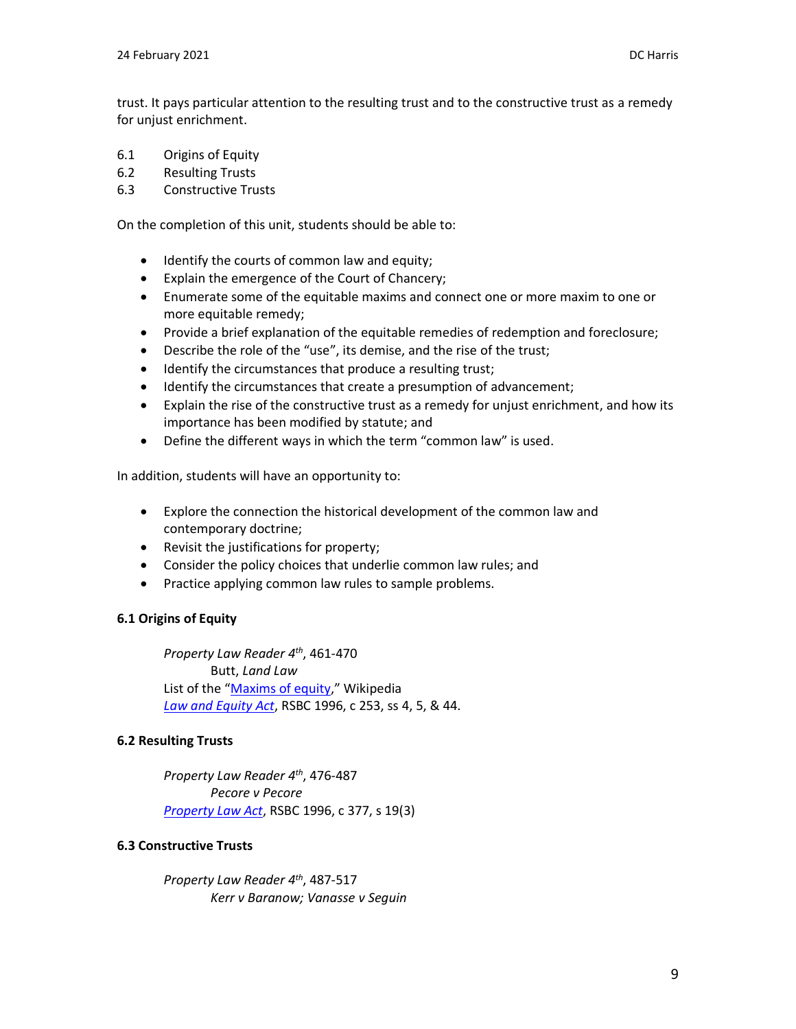trust. It pays particular attention to the resulting trust and to the constructive trust as a remedy for unjust enrichment.

- 6.1 Origins of Equity
- 6.2 Resulting Trusts
- 6.3 Constructive Trusts

On the completion of this unit, students should be able to:

- Identify the courts of common law and equity;
- Explain the emergence of the Court of Chancery;
- Enumerate some of the equitable maxims and connect one or more maxim to one or more equitable remedy;
- Provide a brief explanation of the equitable remedies of redemption and foreclosure;
- Describe the role of the "use", its demise, and the rise of the trust;
- Identify the circumstances that produce a resulting trust;
- Identify the circumstances that create a presumption of advancement;
- Explain the rise of the constructive trust as a remedy for unjust enrichment, and how its importance has been modified by statute; and
- Define the different ways in which the term "common law" is used.

In addition, students will have an opportunity to:

- Explore the connection the historical development of the common law and contemporary doctrine;
- Revisit the justifications for property;
- Consider the policy choices that underlie common law rules; and
- Practice applying common law rules to sample problems.

### **6.1 Origins of Equity**

*Property Law Reader 4 th*, 461-470 Butt, *Land Law* List of the "[Maxims of equity](https://en.wikipedia.org/wiki/Maxims_of_equity)," Wikipedia *[Law and Equity Act](http://www.bclaws.ca/EPLibraries/bclaws_new/document/ID/freeside/00_96253_01)*, RSBC 1996, c 253, ss 4, 5, & 44.

### **6.2 Resulting Trusts**

*Property Law Reader 4 th*, 476-487 *Pecore v Pecore [Property Law Act](http://www.bclaws.ca/EPLibraries/bclaws_new/document/ID/freeside/00_96377_01)*, RSBC 1996, c 377, s 19(3)

#### **6.3 Constructive Trusts**

*Property Law Reader 4 th* , 487-517 *Kerr v Baranow; Vanasse v Seguin*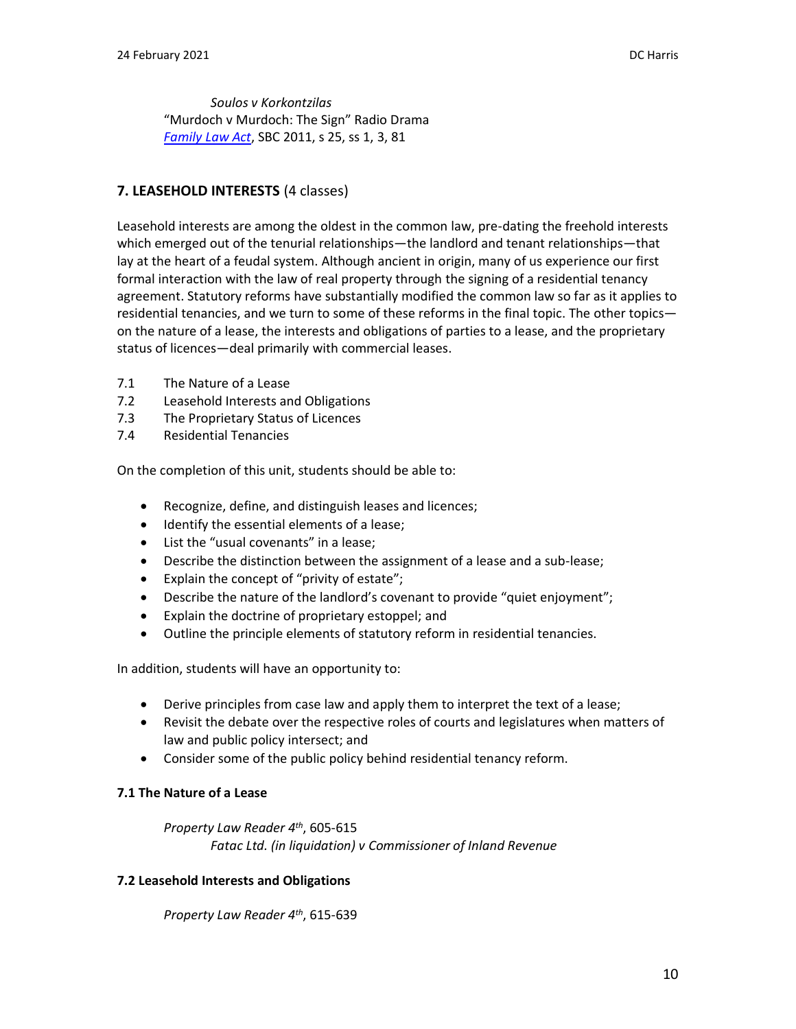*Soulos v Korkontzilas* "Murdoch v Murdoch: The Sign" Radio Drama *[Family Law Act](http://www.bclaws.ca/civix/document/id/complete/statreg/11025_00)*, SBC 2011, s 25, ss 1, 3, 81

### **7. LEASEHOLD INTERESTS** (4 classes)

Leasehold interests are among the oldest in the common law, pre-dating the freehold interests which emerged out of the tenurial relationships—the landlord and tenant relationships—that lay at the heart of a feudal system. Although ancient in origin, many of us experience our first formal interaction with the law of real property through the signing of a residential tenancy agreement. Statutory reforms have substantially modified the common law so far as it applies to residential tenancies, and we turn to some of these reforms in the final topic. The other topics on the nature of a lease, the interests and obligations of parties to a lease, and the proprietary status of licences—deal primarily with commercial leases.

- 7.1 The Nature of a Lease
- 7.2 Leasehold Interests and Obligations
- 7.3 The Proprietary Status of Licences
- 7.4 Residential Tenancies

On the completion of this unit, students should be able to:

- Recognize, define, and distinguish leases and licences;
- Identify the essential elements of a lease;
- List the "usual covenants" in a lease;
- Describe the distinction between the assignment of a lease and a sub-lease;
- Explain the concept of "privity of estate";
- Describe the nature of the landlord's covenant to provide "quiet enjoyment";
- Explain the doctrine of proprietary estoppel; and
- Outline the principle elements of statutory reform in residential tenancies.

In addition, students will have an opportunity to:

- Derive principles from case law and apply them to interpret the text of a lease;
- Revisit the debate over the respective roles of courts and legislatures when matters of law and public policy intersect; and
- Consider some of the public policy behind residential tenancy reform.

### **7.1 The Nature of a Lease**

*Property Law Reader 4 th*, 605-615 *Fatac Ltd. (in liquidation) v Commissioner of Inland Revenue*

### **7.2 Leasehold Interests and Obligations**

*Property Law Reader 4th*, 615-639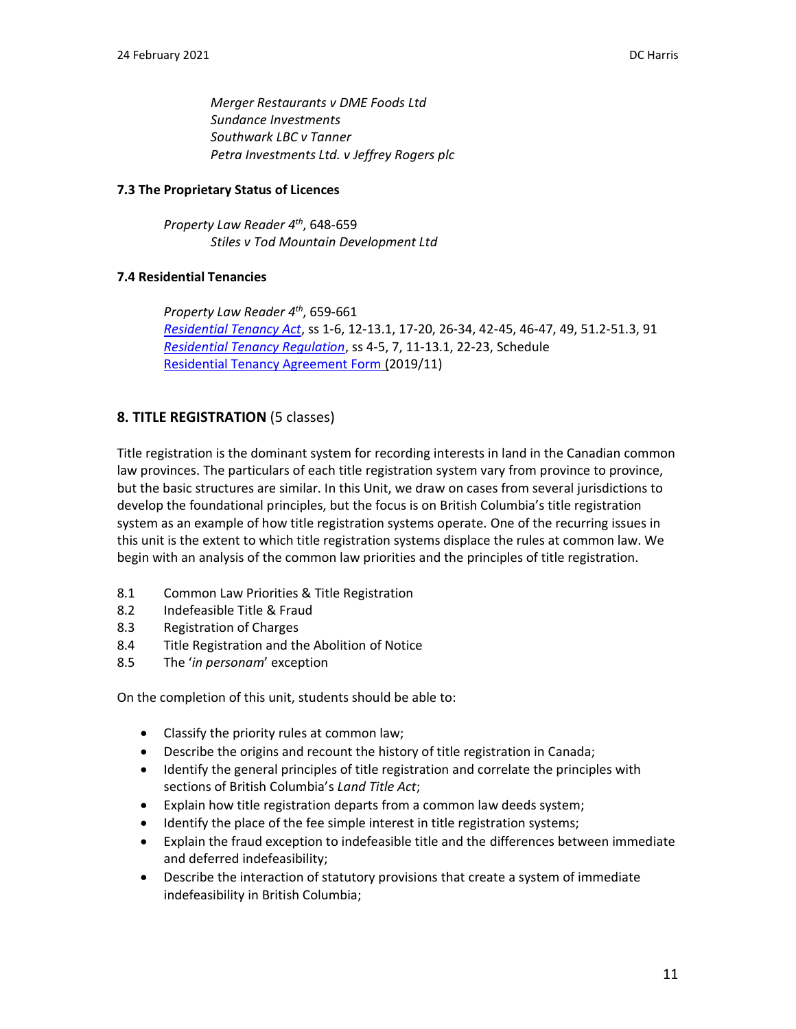*Merger Restaurants v DME Foods Ltd Sundance Investments Southwark LBC v Tanner Petra Investments Ltd. v Jeffrey Rogers plc*

### **7.3 The Proprietary Status of Licences**

*Property Law Reader 4 th*, 648-659 *Stiles v Tod Mountain Development Ltd*

### **7.4 Residential Tenancies**

*Property Law Reader 4 th*, 659-661 *[Residential Tenancy Act](http://www.bclaws.ca/EPLibraries/bclaws_new/document/ID/freeside/00_02078_01)*, ss 1-6, 12-13.1, 17-20, 26-34, 42-45, 46-47, 49, 51.2-51.3, 91 *[Residential Tenancy Regulation](http://www.bclaws.ca/EPLibraries/bclaws_new/document/ID/freeside/10_477_2003)*, ss 4-5, 7, 11-13.1, 22-23, Schedule [Residential Tenancy Agreement Form](https://www2.gov.bc.ca/assets/gov/housing-and-tenancy/residential-tenancies/forms/rtb1_chrome.pdf) (2019/11)

## **8. TITLE REGISTRATION** (5 classes)

Title registration is the dominant system for recording interests in land in the Canadian common law provinces. The particulars of each title registration system vary from province to province, but the basic structures are similar. In this Unit, we draw on cases from several jurisdictions to develop the foundational principles, but the focus is on British Columbia's title registration system as an example of how title registration systems operate. One of the recurring issues in this unit is the extent to which title registration systems displace the rules at common law. We begin with an analysis of the common law priorities and the principles of title registration.

- 8.1 Common Law Priorities & Title Registration
- 8.2 Indefeasible Title & Fraud
- 8.3 Registration of Charges
- 8.4 Title Registration and the Abolition of Notice
- 8.5 The '*in personam*' exception

On the completion of this unit, students should be able to:

- Classify the priority rules at common law;
- Describe the origins and recount the history of title registration in Canada;
- Identify the general principles of title registration and correlate the principles with sections of British Columbia's *Land Title Act*;
- Explain how title registration departs from a common law deeds system;
- Identify the place of the fee simple interest in title registration systems;
- Explain the fraud exception to indefeasible title and the differences between immediate and deferred indefeasibility;
- Describe the interaction of statutory provisions that create a system of immediate indefeasibility in British Columbia;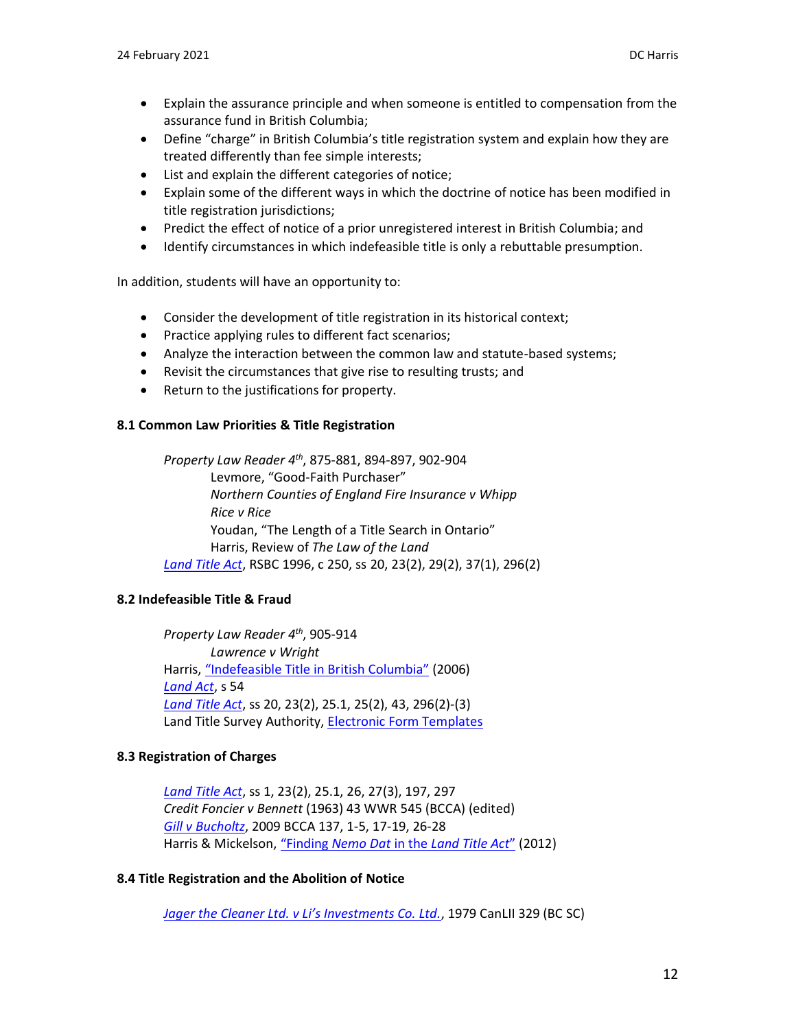- Explain the assurance principle and when someone is entitled to compensation from the assurance fund in British Columbia;
- Define "charge" in British Columbia's title registration system and explain how they are treated differently than fee simple interests;
- List and explain the different categories of notice;
- Explain some of the different ways in which the doctrine of notice has been modified in title registration jurisdictions;
- Predict the effect of notice of a prior unregistered interest in British Columbia; and
- Identify circumstances in which indefeasible title is only a rebuttable presumption.

In addition, students will have an opportunity to:

- Consider the development of title registration in its historical context;
- Practice applying rules to different fact scenarios;
- Analyze the interaction between the common law and statute-based systems;
- Revisit the circumstances that give rise to resulting trusts; and
- Return to the justifications for property.

### **8.1 Common Law Priorities & Title Registration**

*Property Law Reader 4 th*, 875-881, 894-897, 902-904 Levmore, "Good-Faith Purchaser" *Northern Counties of England Fire Insurance v Whipp Rice v Rice* Youdan, "The Length of a Title Search in Ontario" Harris, Review of *The Law of the Land [Land Title Act](http://www.bclaws.ca/EPLibraries/bclaws_new/document/ID/freeside/96250_00)*, RSBC 1996, c 250, ss 20, 23(2), 29(2), 37(1), 296(2)

### **8.2 Indefeasible Title & Fraud**

*Property Law Reader 4 th*, 905-914 *Lawrence v Wright* Harris, ["Indefeasible Title in British Columbia"](https://commons.allard.ubc.ca/fac_pubs/176/) (2006) *[Land Act](http://www.bclaws.ca/EPLibraries/bclaws_new/document/ID/freeside/00_96245_01)*, s 54 *[Land Title Act](http://www.bclaws.ca/EPLibraries/bclaws_new/document/ID/freeside/96250_00)*, ss 20, 23(2), 25.1, 25(2), 43, 296(2)-(3) Land Title Survey Authority, [Electronic Form Templates](https://www.ltsa.ca/professionals/land-title-practice/land-title-forms/)

### **8.3 Registration of Charges**

*[Land Title Act](http://www.bclaws.ca/EPLibraries/bclaws_new/document/ID/freeside/96250_00)*, ss 1, 23(2), 25.1, 26, 27(3), 197, 297 *Credit Foncier v Bennett* (1963) 43 WWR 545 (BCCA) (edited) *Gill v [Bucholtz](http://www.canlii.org/en/bc/bcca/doc/2009/2009bcca137/2009bcca137.html)*, 2009 BCCA 137, 1-5, 17-19, 26-28 Harris & Mickelson, "Finding *Nemo Dat* in the *[Land Title Act](https://commons.allard.ubc.ca/fac_pubs/175/)*" (2012)

### **8.4 Title Registration and the Abolition of Notice**

*[Jager the Cleaner Ltd. v Li's Investments Co. Ltd.](http://canlii.ca/t/23cjh)*, 1979 CanLII 329 (BC SC)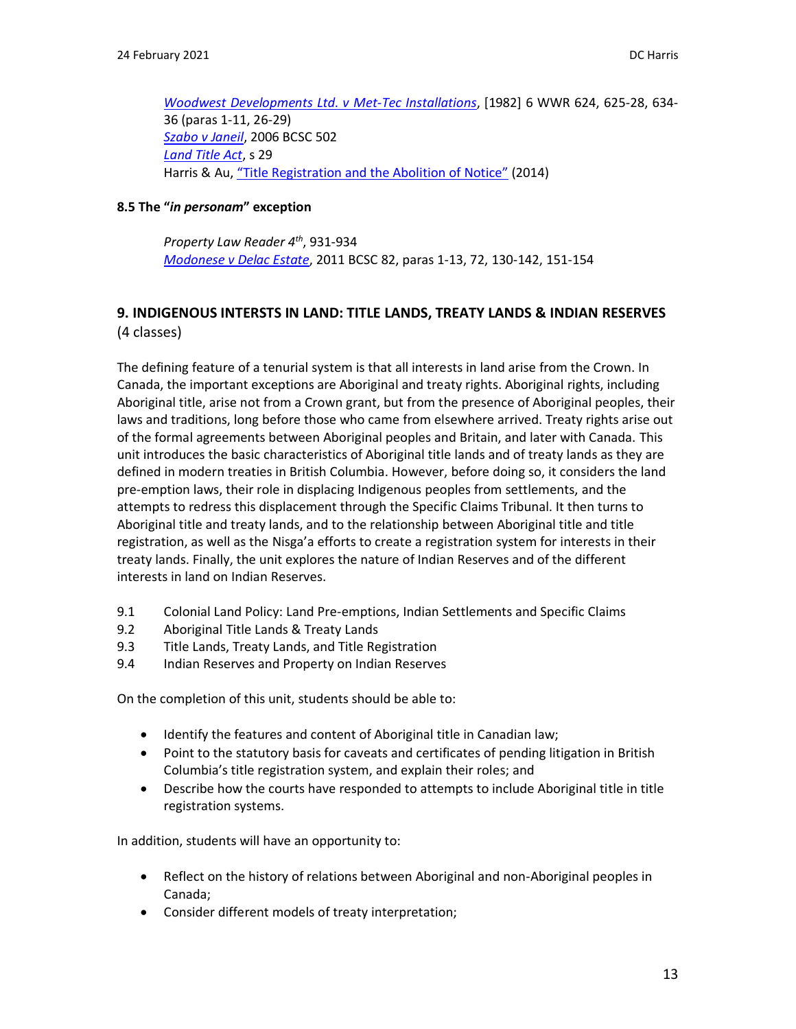*Woodwest [Developments Ltd. v Met-Tec Installations](http://canlii.ca/t/gdfg1)*, [1982] 6 WWR 624, 625-28, 634- 36 (paras 1-11, 26-29) *[Szabo v Janeil](http://canlii.ca/t/1mxm3)*, 2006 BCSC 502 *[Land Title Act](http://www.bclaws.ca/EPLibraries/bclaws_new/document/ID/freeside/96250_00)*, s 29 Harris & Au, ["Title Registration and the Abolition of Notice"](https://commons.allard.ubc.ca/fac_pubs/179/) (2014)

### **8.5 The "***in personam***" exception**

*Property Law Reader 4th*, 931-934 *[Modonese v Delac Estate](https://canlii.ca/t/2ffll)*, 2011 BCSC 82, paras 1-13, 72, 130-142, 151-154

### **9. INDIGENOUS INTERSTS IN LAND: TITLE LANDS, TREATY LANDS & INDIAN RESERVES** (4 classes)

The defining feature of a tenurial system is that all interests in land arise from the Crown. In Canada, the important exceptions are Aboriginal and treaty rights. Aboriginal rights, including Aboriginal title, arise not from a Crown grant, but from the presence of Aboriginal peoples, their laws and traditions, long before those who came from elsewhere arrived. Treaty rights arise out of the formal agreements between Aboriginal peoples and Britain, and later with Canada. This unit introduces the basic characteristics of Aboriginal title lands and of treaty lands as they are defined in modern treaties in British Columbia. However, before doing so, it considers the land pre-emption laws, their role in displacing Indigenous peoples from settlements, and the attempts to redress this displacement through the Specific Claims Tribunal. It then turns to Aboriginal title and treaty lands, and to the relationship between Aboriginal title and title registration, as well as the Nisga'a efforts to create a registration system for interests in their treaty lands. Finally, the unit explores the nature of Indian Reserves and of the different interests in land on Indian Reserves.

- 9.1 Colonial Land Policy: Land Pre-emptions, Indian Settlements and Specific Claims
- 9.2 Aboriginal Title Lands & Treaty Lands
- 9.3 Title Lands, Treaty Lands, and Title Registration
- 9.4 Indian Reserves and Property on Indian Reserves

On the completion of this unit, students should be able to:

- Identify the features and content of Aboriginal title in Canadian law;
- Point to the statutory basis for caveats and certificates of pending litigation in British Columbia's title registration system, and explain their roles; and
- Describe how the courts have responded to attempts to include Aboriginal title in title registration systems.

In addition, students will have an opportunity to:

- Reflect on the history of relations between Aboriginal and non-Aboriginal peoples in Canada;
- Consider different models of treaty interpretation;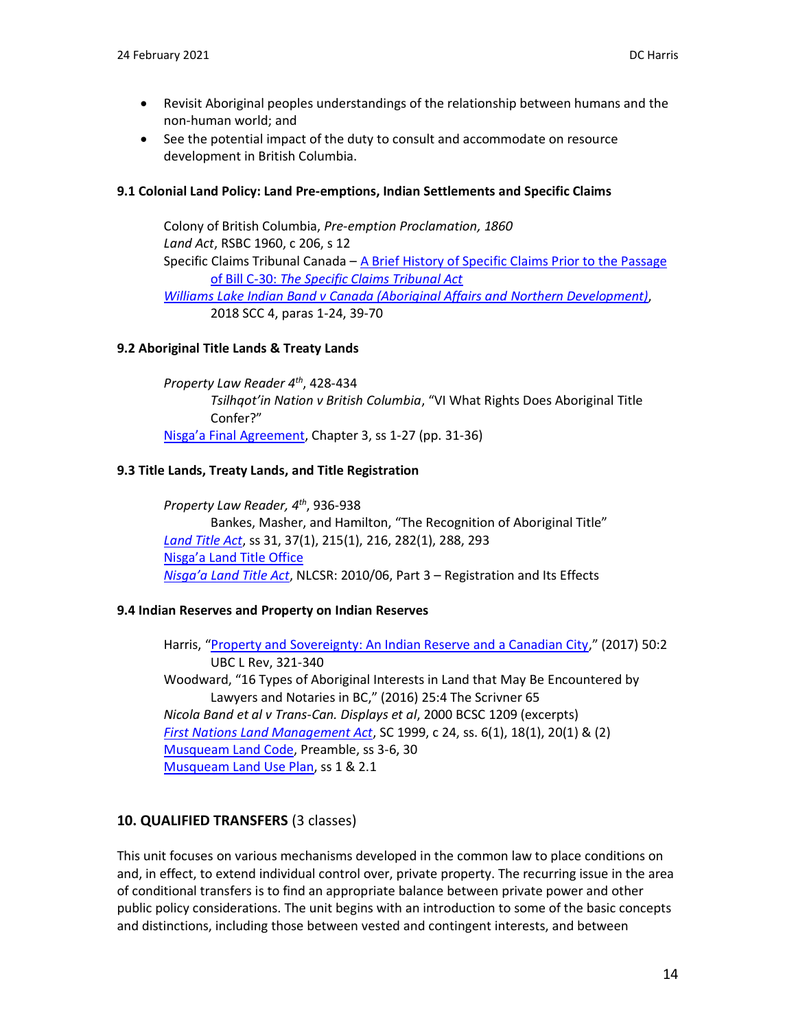- Revisit Aboriginal peoples understandings of the relationship between humans and the non-human world; and
- See the potential impact of the duty to consult and accommodate on resource development in British Columbia.

### **9.1 Colonial Land Policy: Land Pre-emptions, Indian Settlements and Specific Claims**

Colony of British Columbia, *Pre-emption Proclamation, 1860 Land Act*, RSBC 1960, c 206, s 12 Specific Claims Tribunal Canada – [A Brief History of Specific Claims Prior to the Passage](https://www.sct-trp.ca/hist/hist_e.htm)  of Bill C-30: *[The Specific Claims Tribunal Act](https://www.sct-trp.ca/hist/hist_e.htm) [Williams Lake Indian Band v Canada \(Aboriginal Affairs and](https://canlii.ca/t/hq5df) Northern Development)*, 2018 SCC 4, paras 1-24, 39-70

### **9.2 Aboriginal Title Lands & Treaty Lands**

*Property Law Reader 4th* , 428-434 *Tsilhqot'in Nation v British Columbia*, "VI What Rights Does Aboriginal Title Confer?" [Nisga'a Final Agreement](https://www.rcaanc-cirnac.gc.ca/eng/1100100031292/1542998607479), Chapter 3, ss 1-27 (pp. 31-36)

### **9.3 Title Lands, Treaty Lands, and Title Registration**

*Property Law Reader, 4 th* , 936-938 Bankes, Masher, and Hamilton, "The Recognition of Aboriginal Title" *[Land Title Act](http://www.bclaws.ca/EPLibraries/bclaws_new/document/ID/freeside/96250_00)*, ss 31, 37(1), 215(1), 216, 282(1), 288, 293 [Nisga'a Land Title Office](https://nisgaalandtitle.ca/) *[Nisga'a Land Title Act](https://www.nisgaanation.ca/legislation/nisgaa-land-title-act)*, NLCSR: 2010/06, Part 3 – Registration and Its Effects

### **9.4 Indian Reserves and Property on Indian Reserves**

Harris, "[Property and Sovereignty: An Indian Reserve and a Canadian City](https://commons.allard.ubc.ca/fac_pubs/394/)," (2017) 50:2 UBC L Rev, 321-340 Woodward, "16 Types of Aboriginal Interests in Land that May Be Encountered by Lawyers and Notaries in BC," (2016) 25:4 The Scrivner 65 *Nicola Band et al v Trans-Can. Displays et al*, 2000 BCSC 1209 (excerpts) *[First Nations Land Management Act](http://laws-lois.justice.gc.ca/eng/acts/F-11.8/)*, SC 1999, c 24, ss. 6(1), 18(1), 20(1) & (2) [Musqueam Land Code,](https://www.musqueam.bc.ca/departments/land-capital-and-housing/lands/land-code-individual-agreement/) Preamble, ss 3-6, 30 [Musqueam Land Use Plan,](https://www.musqueam.bc.ca/departments/land-capital-and-housing/lands/lands-registry-forms-2/) ss 1 & 2.1

### **10. QUALIFIED TRANSFERS** (3 classes)

This unit focuses on various mechanisms developed in the common law to place conditions on and, in effect, to extend individual control over, private property. The recurring issue in the area of conditional transfers is to find an appropriate balance between private power and other public policy considerations. The unit begins with an introduction to some of the basic concepts and distinctions, including those between vested and contingent interests, and between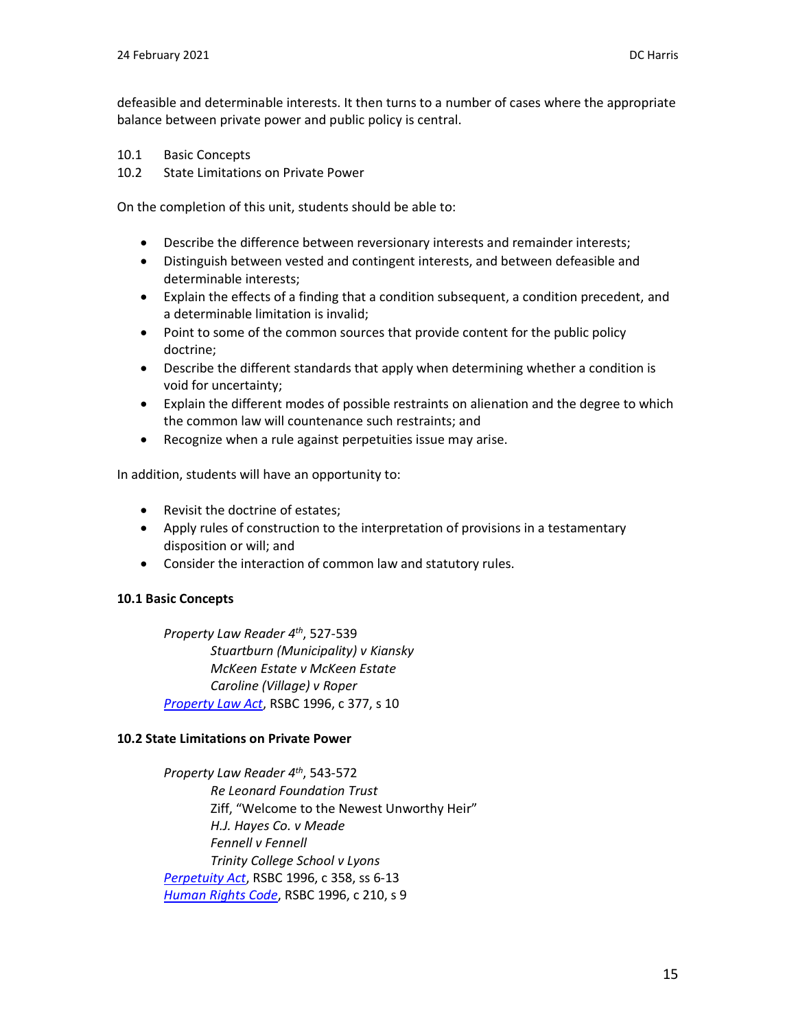defeasible and determinable interests. It then turns to a number of cases where the appropriate balance between private power and public policy is central.

- 10.1 Basic Concepts
- 10.2 State Limitations on Private Power

On the completion of this unit, students should be able to:

- Describe the difference between reversionary interests and remainder interests;
- Distinguish between vested and contingent interests, and between defeasible and determinable interests;
- Explain the effects of a finding that a condition subsequent, a condition precedent, and a determinable limitation is invalid;
- Point to some of the common sources that provide content for the public policy doctrine;
- Describe the different standards that apply when determining whether a condition is void for uncertainty;
- Explain the different modes of possible restraints on alienation and the degree to which the common law will countenance such restraints; and
- Recognize when a rule against perpetuities issue may arise.

In addition, students will have an opportunity to:

- Revisit the doctrine of estates;
- Apply rules of construction to the interpretation of provisions in a testamentary disposition or will; and
- Consider the interaction of common law and statutory rules.

### **10.1 Basic Concepts**

*Property Law Reader 4 th*, 527-539 *Stuartburn (Municipality) v Kiansky McKeen Estate v McKeen Estate Caroline (Village) v Roper [Property Law Act](http://www.bclaws.ca/civix/document/id/complete/statreg/96377_01)*, RSBC 1996, c 377, s 10

#### **10.2 State Limitations on Private Power**

*Property Law Reader 4 th*, 543-572 *Re Leonard Foundation Trust* Ziff, "Welcome to the Newest Unworthy Heir" *H.J. Hayes Co. v Meade Fennell v Fennell Trinity College School v Lyons [Perpetuity Act](http://www.bclaws.ca/civix/document/id/complete/statreg/96358_01)*, RSBC 1996, c 358, ss 6-13 *[Human Rights Code](http://www.bclaws.ca/civix/document/id/complete/statreg/96210_01)*, RSBC 1996, c 210, s 9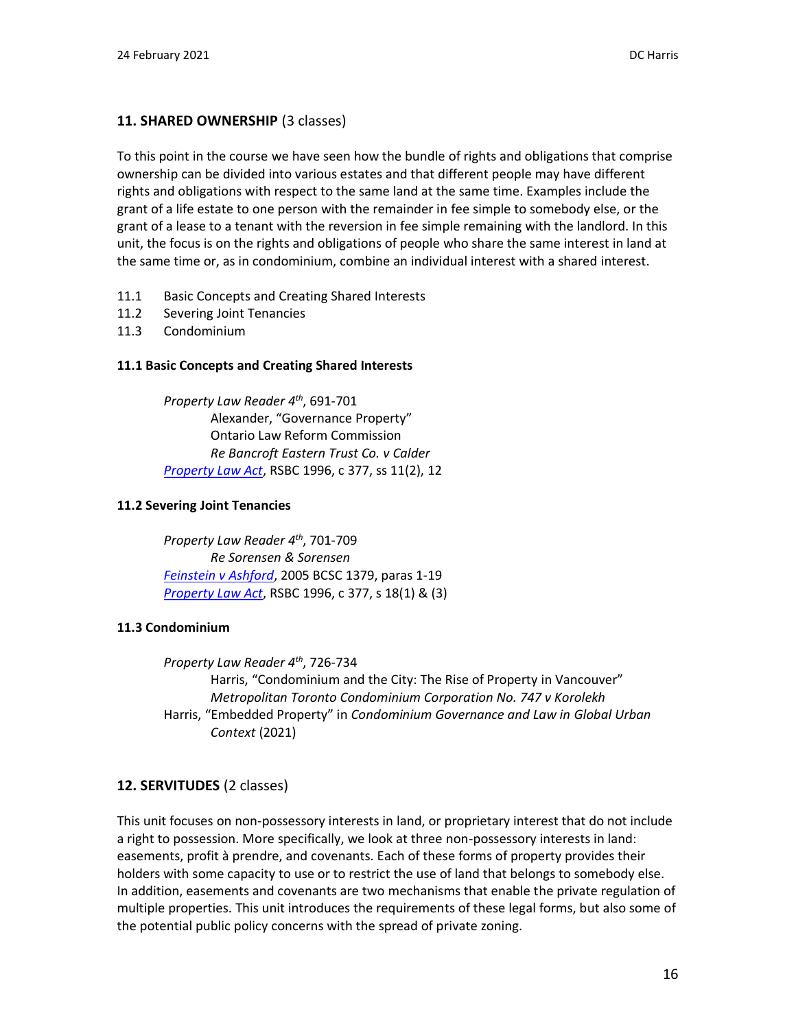# **11. SHARED OWNERSHIP** (3 classes)

To this point in the course we have seen how the bundle of rights and obligations that comprise ownership can be divided into various estates and that different people may have different rights and obligations with respect to the same land at the same time. Examples include the grant of a life estate to one person with the remainder in fee simple to somebody else, or the grant of a lease to a tenant with the reversion in fee simple remaining with the landlord. In this unit, the focus is on the rights and obligations of people who share the same interest in land at the same time or, as in condominium, combine an individual interest with a shared interest.

- 11.1 Basic Concepts and Creating Shared Interests
- 11.2 Severing Joint Tenancies
- 11.3 Condominium

## **11.1 Basic Concepts and Creating Shared Interests**

*Property Law Reader 4 th*, 691-701 Alexander, "Governance Property" Ontario Law Reform Commission *Re Bancroft Eastern Trust Co. v Calder [Property Law Act](http://www.bclaws.ca/EPLibraries/bclaws_new/document/ID/freeside/00_96377_01)*, RSBC 1996, c 377, ss 11(2), 12

### **11.2 Severing Joint Tenancies**

*Property Law Reader 4 th*, 701-709 *Re Sorensen & Sorensen [Feinstein v Ashford](http://canlii.ca/t/1lqrw)*, 2005 BCSC 1379, paras 1-19 *[Property Law Act](http://www.bclaws.ca/EPLibraries/bclaws_new/document/ID/freeside/00_96377_01)*, RSBC 1996, c 377, s 18(1) & (3)

### **11.3 Condominium**

*Property Law Reader 4th*, 726-734 Harris, "Condominium and the City: The Rise of Property in Vancouver" *Metropolitan Toronto Condominium Corporation No. 747 v Korolekh* Harris, "Embedded Property" in *Condominium Governance and Law in Global Urban Context* (2021)

# **12. SERVITUDES** (2 classes)

This unit focuses on non-possessory interests in land, or proprietary interest that do not include a right to possession. More specifically, we look at three non-possessory interests in land: easements, profit à prendre, and covenants. Each of these forms of property provides their holders with some capacity to use or to restrict the use of land that belongs to somebody else. In addition, easements and covenants are two mechanisms that enable the private regulation of multiple properties. This unit introduces the requirements of these legal forms, but also some of the potential public policy concerns with the spread of private zoning.